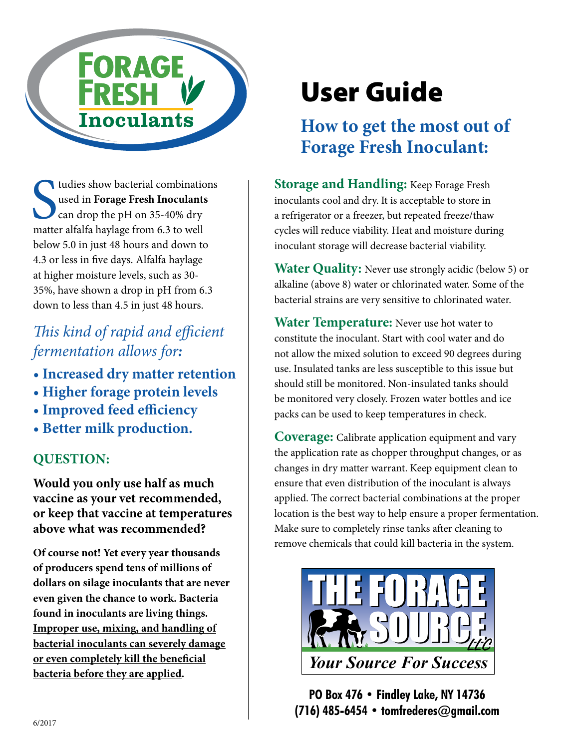

tudies show bacterial combinations<br>used in Forage Fresh Inoculants<br>can drop the pH on 35-40% dry<br>matter alfalfa haylage from 6.3 to well tudies show bacterial combinations used in **Forage Fresh Inoculants** can drop the pH on 35-40% dry below 5.0 in just 48 hours and down to 4.3 or less in five days. Alfalfa haylage at higher moisture levels, such as 30- 35%, have shown a drop in pH from 6.3 down to less than 4.5 in just 48 hours.

### *This kind of rapid and efficient fermentation allows for:*

- **Increased dry matter retention**
- **Higher forage protein levels**
- **Improved feed efficiency**
- **Better milk production.**

#### **QUESTION:**

**Would you only use half as much vaccine as your vet recommended, Would you only use halt as much exaccine as your vet recommended,** a a a a position of that vaccine at temperatures **above what was recommended?**  $ON:$ <br>the set of  $\begin{array}{c} \begin{array}{c} \begin{array}{c} \text{the} \\ \text{the} \end{array} \end{array}$ 

**Of course not! Yet every year thousands of producers spend tens of millions of dollars on silage inoculants that are never even given the chance to work. Bacteria found in inoculants are living things. Improper use, mixing, and handling of bacterial inoculants can severely damage or even completely kill the beneficial bacteria before they are applied.**

# User Guide

# **How to get the most out of Forage Fresh Inoculant:**

**Subseminations**<br> **Storage and Handling:** Keep Forage Fresh **inoculants** dry. It is acceptable to store in dry a refrigerator or a freezer but repeated freeze/thaw a refrigerator or a freezer, but repeated freeze/thaw cycles will reduce viability. Heat and moisture during inoculant storage will decrease bacterial viability.

nd down to<br>
Ifa haylage<br> **Water Quality:** Never use strongly acidic (below 5) or<br> **Water Quality:** Never use strongly acidic (below 5) or alkaline (above 8) water or chlorinated water. Some of the bacterial strains are very sensitive to chlorinated water.<br> *Position bacterial* strains are very sensitive to chlorinated water.

**Water Temperature:** Never use hot water to constitute the inoculant. Start with cool water and do not allow the mixed solution to exceed 90 degrees during use. Insulated tanks are less susceptible to this issue but should still be monitored. Non-insulated tanks should **be monitored very closely. Frozen water bottles and ice**<br> **CV** and the used to keep temperatures in check packs can be used to keep temperatures in check. For:<br>
for:<br>
The form is the mixed solution to exceed 90 degrees of<br>
ter retention

> **Coverage:** Calibrate application equipment and vary the application rate as chopper throughput changes, or as changes in dry matter warrant. Keep equipment clean to ensure that even distribution of the inoculant is always applied. The correct bacterial combinations at the proper location is the best way to help ensure a proper fermentation. Make sure to completely rinse tanks after cleaning to wake sure to compietely rinse tanks after cleaning to<br>remove chemicals that could kill bacteria in the system. plication rate as chopper throughput changes<br>es in dry matter warrant. Keep equipment cle<br>that www.distribution of the ine what is alw



**PO Box 476 • Findley Lake, NY 14736 (716) 485-6454 • tomfrederes@gmail.com** please refer to the following: *Company name - Impact Regular*